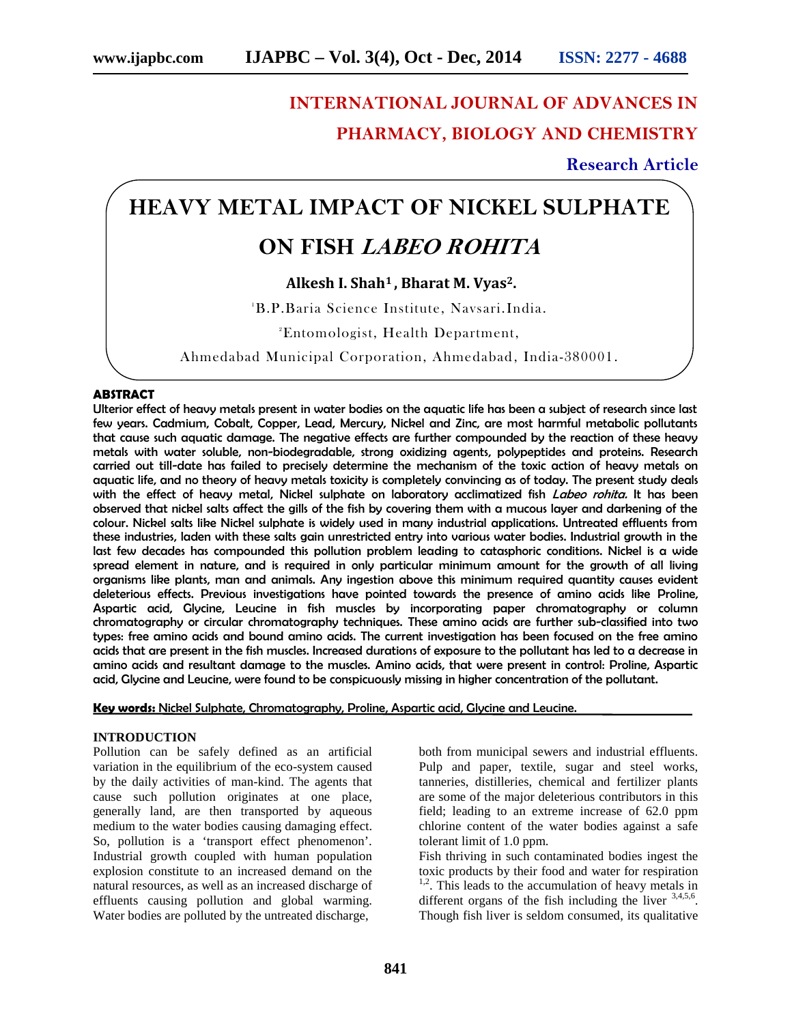# **INTERNATIONAL JOURNAL OF ADVANCES IN PHARMACY, BIOLOGY AND CHEMISTRY**

**Research Article**

## **HEAVY METAL IMPACT OF NICKEL SULPHATE**

### **ON FISH** *LABEO ROHITA*

### **Alkesh I. Shah<sup>1</sup> , Bharat M. Vyas2.**

<sup>1</sup>B.P.Baria Science Institute, Navsari.India.

<sup>2</sup>Entomologist, Health Department,

Ahmedabad Municipal Corporation, Ahmedabad, India-380001.

#### **ABSTRACT**

Ulterior effect of heavy metals present in water bodies on the aquatic life has been a subject of research since last few years. Cadmium, Cobalt, Copper, Lead, Mercury, Nickel and Zinc, are most harmful metabolic pollutants that cause such aquatic damage. The negative effects are further compounded by the reaction of these heavy metals with water soluble, non-biodegradable, strong oxidizing agents, polypeptides and proteins. Research carried out till-date has failed to precisely determine the mechanism of the toxic action of heavy metals on aquatic life, and no theory of heavy metals toxicity is completely convincing as of today. The present study deals with the effect of heavy metal, Nickel sulphate on laboratory acclimatized fish *Labeo rohita.* It has been observed that nickel salts affect the gills of the fish by covering them with a mucous layer and darkening of the colour. Nickel salts like Nickel sulphate is widely used in many industrial applications. Untreated effluents from these industries, laden with these salts gain unrestricted entry into various water bodies. Industrial growth in the last few decades has compounded this pollution problem leading to catasphoric conditions. Nickel is a wide spread element in nature, and is required in only particular minimum amount for the growth of all living organisms like plants, man and animals. Any ingestion above this minimum required quantity causes evident deleterious effects. Previous investigations have pointed towards the presence of amino acids like Proline, Aspartic acid, Glycine, Leucine in fish muscles by incorporating paper chromatography or column chromatography or circular chromatography techniques. These amino acids are further sub-classified into two types: free amino acids and bound amino acids. The current investigation has been focused on the free amino acids that are present in the fish muscles. Increased durations of exposure to the pollutant has led to a decrease in amino acids and resultant damage to the muscles. Amino acids, that were present in control: Proline, Aspartic acid, Glycine and Leucine, were found to be conspicuously missing in higher concentration of the pollutant.

**Key words:** Nickel Sulphate, Chromatography, Proline, Aspartic acid, Glycine and Leucine.

#### **INTRODUCTION**

Pollution can be safely defined as an artificial variation in the equilibrium of the eco-system caused by the daily activities of man-kind. The agents that cause such pollution originates at one place, generally land, are then transported by aqueous medium to the water bodies causing damaging effect. So, pollution is a 'transport effect phenomenon'. Industrial growth coupled with human population explosion constitute to an increased demand on the natural resources, as well as an increased discharge of effluents causing pollution and global warming. Water bodies are polluted by the untreated discharge,

both from municipal sewers and industrial effluents. Pulp and paper, textile, sugar and steel works, tanneries, distilleries, chemical and fertilizer plants are some of the major deleterious contributors in this field; leading to an extreme increase of 62.0 ppm chlorine content of the water bodies against a safe tolerant limit of 1.0 ppm.

Fish thriving in such contaminated bodies ingest the toxic products by their food and water for respiration <sup>1,2</sup>. This leads to the accumulation of heavy metals in different organs of the fish including the liver  $3,4,5,6$ . Though fish liver is seldom consumed, its qualitative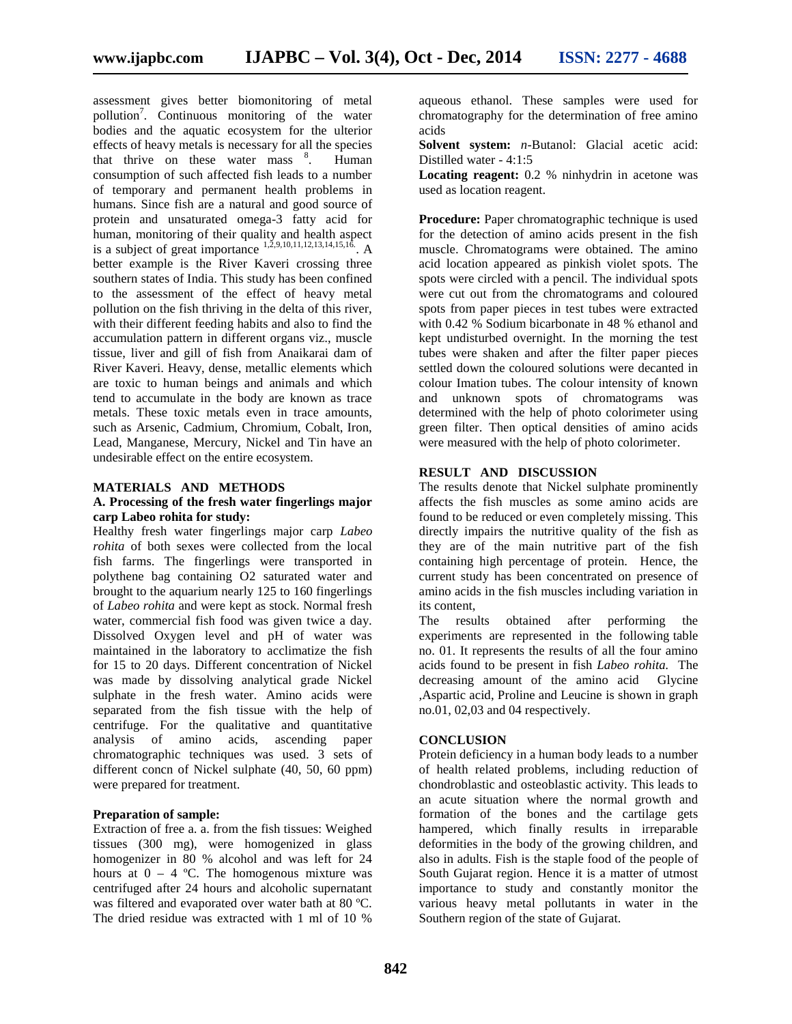assessment gives better biomonitoring of metal pollution<sup>7</sup>. Continuous monitoring of the water bodies and the aquatic ecosystem for the ulterior effects of heavy metals is necessary for all the species that thrive on these water mass  $\frac{8}{3}$ . . Human consumption of such affected fish leads to a number of temporary and permanent health problems in humans. Since fish are a natural and good source of protein and unsaturated omega-3 fatty acid for human, monitoring of their quality and health aspect is a subject of great importance  $^{1,2,9,10,11,12,13,14,15,16}$ . A mus better example is the River Kaveri crossing three southern states of India. This study has been confined to the assessment of the effect of heavy metal pollution on the fish thriving in the delta of this river, with their different feeding habits and also to find the accumulation pattern in different organs viz., muscle tissue, liver and gill of fish from Anaikarai dam of River Kaveri. Heavy, dense, metallic elements which are toxic to human beings and animals and which tend to accumulate in the body are known as trace metals. These toxic metals even in trace amounts, such as Arsenic, Cadmium, Chromium, Cobalt, Iron, Lead, Manganese, Mercury, Nickel and Tin have an undesirable effect on the entire ecosystem.

#### **MATERIALS AND METHODS**

#### **A. Processing of the fresh water fingerlings major carp Labeo rohita for study:**

Healthy fresh water fingerlings major carp *Labeo rohita* of both sexes were collected from the local fish farms. The fingerlings were transported in polythene bag containing O2 saturated water and brought to the aquarium nearly 125 to 160 fingerlings of *Labeo rohita* and were kept as stock. Normal fresh water, commercial fish food was given twice a day. Dissolved Oxygen level and pH of water was maintained in the laboratory to acclimatize the fish for 15 to 20 days. Different concentration of Nickel was made by dissolving analytical grade Nickel sulphate in the fresh water. Amino acids were separated from the fish tissue with the help of centrifuge. For the qualitative and quantitative analysis of amino acids, ascending paper chromatographic techniques was used. 3 sets of different concn of Nickel sulphate (40, 50, 60 ppm) were prepared for treatment.

#### **Preparation of sample:**

Extraction of free a. a. from the fish tissues: Weighed tissues (300 mg), were homogenized in glass homogenizer in 80 % alcohol and was left for 24 hours at  $0 - 4$  °C. The homogenous mixture was centrifuged after 24 hours and alcoholic supernatant was filtered and evaporated over water bath at 80 ºC. The dried residue was extracted with 1 ml of 10 %

aqueous ethanol. These samples were used for chromatography for the determination of free amino acids

**Solvent system:** *n*-Butanol: Glacial acetic acid: Distilled water - 4:1:5

**Locating reagent:** 0.2 % ninhydrin in acetone was used as location reagent.

**Procedure:** Paper chromatographic technique is used for the detection of amino acids present in the fish muscle. Chromatograms were obtained. The amino acid location appeared as pinkish violet spots. The spots were circled with a pencil. The individual spots were cut out from the chromatograms and coloured spots from paper pieces in test tubes were extracted with 0.42 % Sodium bicarbonate in 48 % ethanol and kept undisturbed overnight. In the morning the test tubes were shaken and after the filter paper pieces settled down the coloured solutions were decanted in colour Imation tubes. The colour intensity of known and unknown spots of chromatograms was determined with the help of photo colorimeter using green filter. Then optical densities of amino acids were measured with the help of photo colorimeter.

#### **RESULT AND DISCUSSION**

The results denote that Nickel sulphate prominently affects the fish muscles as some amino acids are found to be reduced or even completely missing. This directly impairs the nutritive quality of the fish as they are of the main nutritive part of the fish containing high percentage of protein. Hence, the current study has been concentrated on presence of amino acids in the fish muscles including variation in its content,

The results obtained after performing the experiments are represented in the following table no. 01. It represents the results of all the four amino acids found to be present in fish *Labeo rohita.* The decreasing amount of the amino acid Glycine ,Aspartic acid, Proline and Leucine is shown in graph no.01, 02,03 and 04 respectively.

#### **CONCLUSION**

Protein deficiency in a human body leads to a number of health related problems, including reduction of chondroblastic and osteoblastic activity. This leads to an acute situation where the normal growth and formation of the bones and the cartilage gets hampered, which finally results in irreparable deformities in the body of the growing children, and also in adults. Fish is the staple food of the people of South Gujarat region. Hence it is a matter of utmost importance to study and constantly monitor the various heavy metal pollutants in water in the Southern region of the state of Gujarat.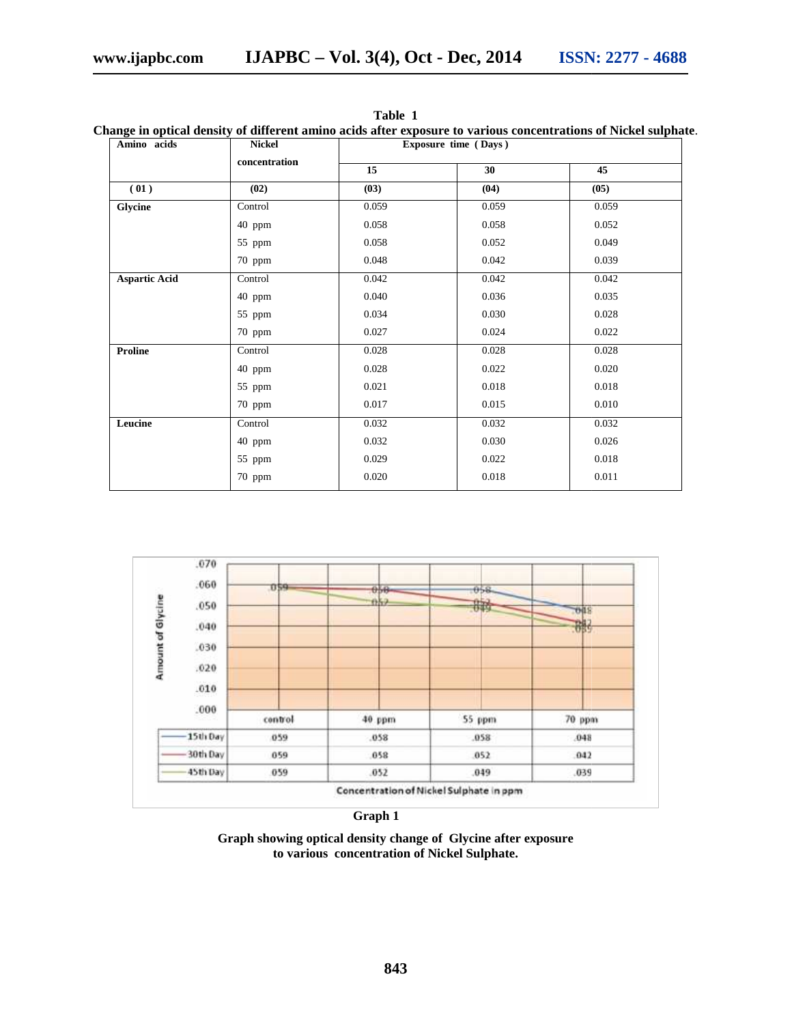| Amino acids          | <b>Nickel</b><br>concentration | Exposure time (Days) |       |       |
|----------------------|--------------------------------|----------------------|-------|-------|
|                      |                                | 15                   | 30    | 45    |
| (01)                 | (02)                           | (03)                 | (04)  | (05)  |
| Glycine              | Control                        | 0.059                | 0.059 | 0.059 |
|                      | 40 ppm                         | 0.058                | 0.058 | 0.052 |
|                      | 55 ppm                         | 0.058                | 0.052 | 0.049 |
|                      | 70 ppm                         | 0.048                | 0.042 | 0.039 |
| <b>Aspartic Acid</b> | Control                        | 0.042                | 0.042 | 0.042 |
|                      | 40 ppm                         | 0.040                | 0.036 | 0.035 |
|                      | 55 ppm                         | 0.034                | 0.030 | 0.028 |
|                      | 70 ppm                         | 0.027                | 0.024 | 0.022 |
| <b>Proline</b>       | Control                        | 0.028                | 0.028 | 0.028 |
|                      | 40 ppm                         | 0.028                | 0.022 | 0.020 |
|                      | 55 ppm                         | 0.021                | 0.018 | 0.018 |
|                      | 70 ppm                         | 0.017                | 0.015 | 0.010 |
| Leucine              | Control                        | 0.032                | 0.032 | 0.032 |
|                      | 40 ppm                         | 0.032                | 0.030 | 0.026 |
|                      | 55 ppm                         | 0.029                | 0.022 | 0.018 |
|                      | 70 ppm                         | 0.020                | 0.018 | 0.011 |
|                      |                                |                      |       |       |

**Table 1**

**Change in optical density of different amino acids after exposure to various concentrations of Nickel sulphate**. **acids after toconcentrations** 



#### **Graph 1**

**Graph showing optical density change of Glycine after exposure to various concentration of Nickel Sulphate.**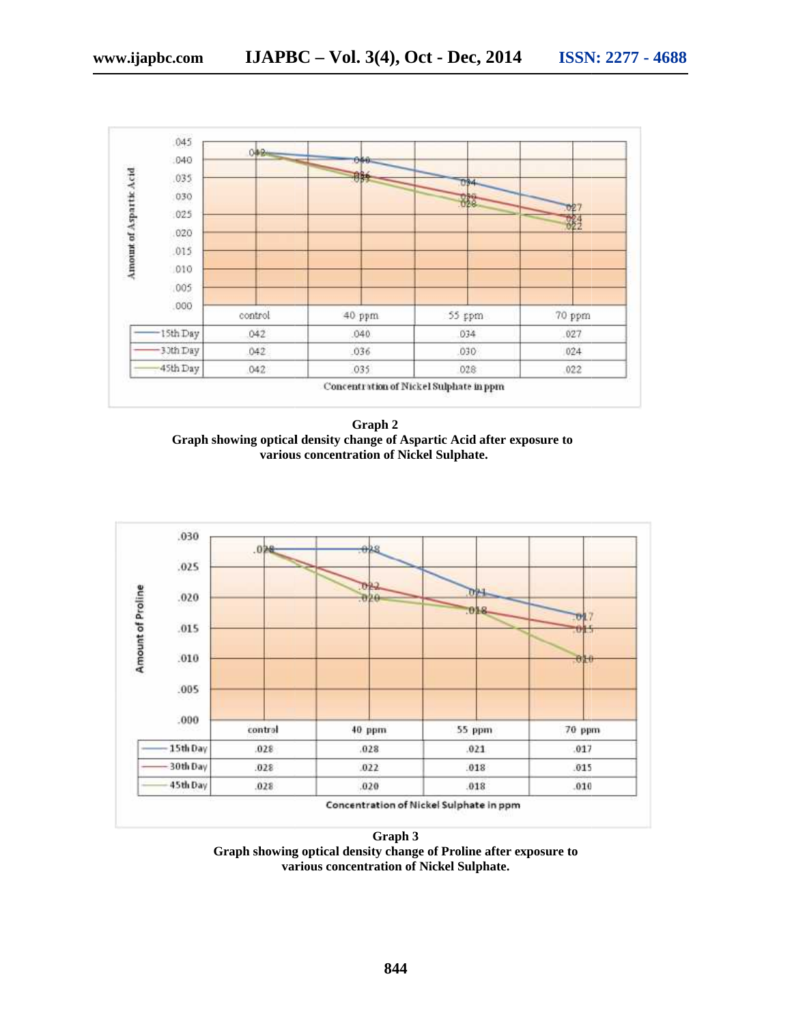

**Graph 2 Graph showing optical density change of Aspartic Acid after exposure to various concentration of Nickel Sulphate.**



**Graph 3 Graph showing optical density change of Proline after exposure to change of various concentration of Nickel Sulphate.**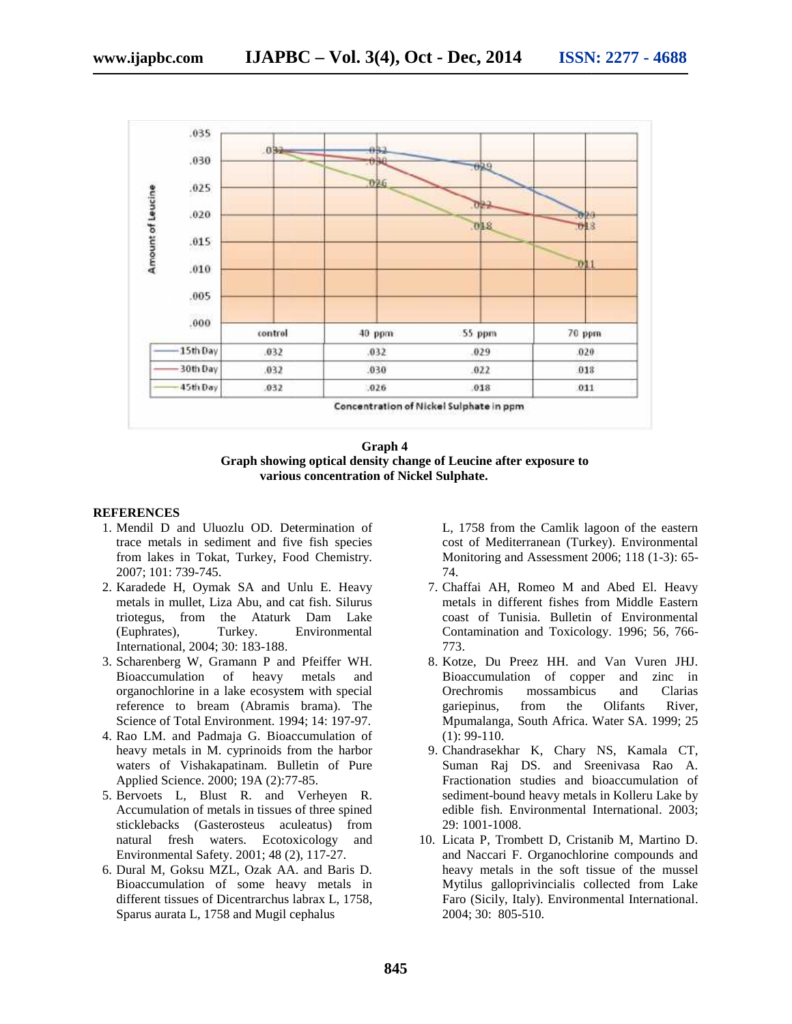

**Graph 4 Graph showing optical density change of Leucine after exposure to Graph showing various concentration of Nickel Sulphate.**

#### **REFERENCES**

- 1. Mendil D and Uluozlu OD. Determination of trace metals in sediment and five fish species trace metals in sediment and five fish species<br>from lakes in Tokat, Turkey, Food Chemistry. 2007; 101: 739-745. 739-745.
- 2. Karadede H, Oymak SA and Unlu E. Heavy metals in mullet, Liza Abu, and cat fish. Silurus triotegus, from the Ataturk Dam Lake (Euphrates), Turkey. Environmental International, 2004; 30: 183-188. metals in mullet, Liza Abu, and cat fish. Silurus<br>
triotegus, from the Ataturk Dam Lake<br>
(Euphrates), Turkey. Environmental<br>
International, 2004; 30: 183-188.<br>
Scharenberg W, Gramann P and Pfeiffer WH.<br>
Bioaccumulation of
- 3. Scharenberg W, Gramann P and Pfeiffer WH. Bioaccumulation of heavy metals and organochlorine in a lake ecosystem with special reference to bream (Abramis brama). The Science of Total Environment. 1994; 14: 197-97.
- 4. Rao LM. and Padmaja G. Bioaccumulation of heavy metals in M. cyprinoids from the harbor waters of Vishakapatinam. Bulletin of Pure Applied Science. 2000; 19A (2):77-85. organochlorine in a lake ecosystem with special<br>reference to bream (Abramis brama). The<br>Science of Total Environment. 1994; 14: 197-97.<br>Rao LM. and Padmaja G. Bioaccumulation of<br>heavy metals in M. cyprinoids from the harbo
- 5. Bervoets L, Blust R. and Verheyen R. Accumulation of metals in tissues of three spined sticklebacks (Gasterosteus aculeatus) from Bervoets L, Blust R. and Verheyen R.<br>Accumulation of metals in tissues of three spined<br>sticklebacks (Gasterosteus aculeatus) from<br>natural fresh waters. Ecotoxicology and Environmental Safety. 2001; 48 (2), 117-27. Padmaja G. Bioaccumulation of (1): 99-110.<br>
n M. cyprinoids from the harbor<br>
hakapatinam. Bulletin of Pure Suman Raj<br>
e. 2000; 19A (2):77-85. Fractionation<br>
Fullst R. and Verheyen R. sediment-boun<br>
for metals in tissues of
- 6. Dural M, Goksu MZL, Ozak AA. and Baris D. Bioaccumulation of some heavy metals in different tissues of Dicentrarchus labrax L, 1758, Sparus aurata L, 1758 and Mugil cephalus 2001; 48 (2), 117-27.<br>, Ozak AA. and Baris D.<br>some heavy metals in

L, 1758 from the Camlik lagoon of the eastern cost of Mediterranean (Turkey). Environmental Monitoring and Assessment 2006; 118 (1-3): 65- 74.

- 7. Chaffai AH, Romeo M and Abed El. Heavy metals in different fishes from Middle Eastern coast of Tunisia. Bulletin of Environmental Contamination and Toxicology. 1996; 56, 766- 773.
- 8. Kotze, Du Preez HH. and Van Vuren JHJ. Bioaccumulation of copper and zinc in Orechromis mossambicus and Clarias gariepinus, from the Olifants River, Mpumalanga, South Africa. Water SA. 1999; 25 (1): 99-110. coast of Tunisia. Bulletin of Environmental<br>Contamination and Toxicology. 1996; 56, 766-<br>773.<br>Kotze, Du Preez HH. and Van Vuren JHJ.<br>Bioaccumulation of copper and zinc in<br>Orechromis mossambicus and Clarias<br>gariepinus, from
- 9. Chandrasekhar K, Chary NS, Kamala CT, Suman Raj DS. and Sreenivasa Rao A. Fractionation studies and bioaccumulation of sediment-bound heavy metals in Kolleru Lake by edible fish. Environmental International. 2003; 29: 1001-1008. D and Uluezhu OD. Determination of the internation of the case of Visham the Case (11739 from the Case (11739 from the Case in Tokat, Turkey, Food Chemistry. Monitoring and Assessment 2006; 118 (1-3): 65-<br>
01: 739-745.<br>
de (1): 99-110.<br>Chandrasekhar K, Chary NS, Kamala CT,<br>Suman Raj DS. and Sreenivasa Rao A.<br>Fractionation studies and bioaccumulation of<br>sediment-bound heavy metals in Kolleru Lake by
	- 10. Licata P, Trombett D, Cristanib M, Martino D. and Naccari F. Organochlorine compounds and heavy metals in the soft tissue of the mussel Mytilus galloprivincialis collected from Lake Faro (Sicily, Italy). Environmental International. 2004; 30: 805-510. Licata P, Trombett D, Cristanib M,<br>and Naccari F. Organochlorine com<br>heavy metals in the soft tissue of<br>Mytilus galloprivincialis collected